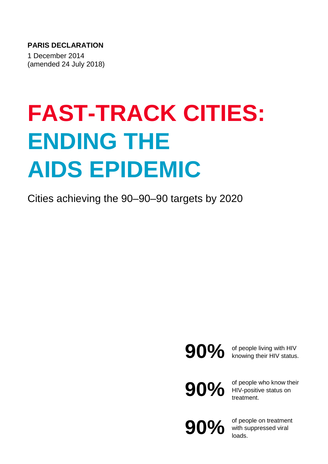**PARIS DECLARATION**

1 December 2014 (amended 24 July 2018)

# **FAST-TRACK CITIES: ENDING THE AIDS EPIDEMIC**

Cities achieving the 90–90–90 targets by 2020

**90%** of people living with HIV<br>knowing their HIV status. knowing their HIV status.

**90%**

of people who know their HIV-positive status on treatment.

**90%**

of people on treatment with suppressed viral loads.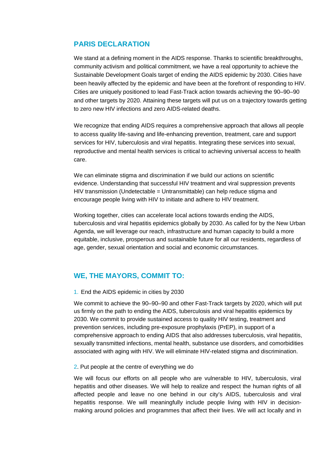## **PARIS DECLARATION**

We stand at a defining moment in the AIDS response. Thanks to scientific breakthroughs, community activism and political commitment, we have a real opportunity to achieve the Sustainable Development Goals target of ending the AIDS epidemic by 2030. Cities have been heavily affected by the epidemic and have been at the forefront of responding to HIV. Cities are uniquely positioned to lead Fast-Track action towards achieving the 90–90–90 and other targets by 2020. Attaining these targets will put us on a trajectory towards getting to zero new HIV infections and zero AIDS-related deaths.

We recognize that ending AIDS requires a comprehensive approach that allows all people to access quality life-saving and life-enhancing prevention, treatment, care and support services for HIV, tuberculosis and viral hepatitis. Integrating these services into sexual, reproductive and mental health services is critical to achieving universal access to health care.

We can eliminate stigma and discrimination if we build our actions on scientific evidence. Understanding that successful HIV treatment and viral suppression prevents HIV transmission (Undetectable = Untransmittable) can help reduce stigma and encourage people living with HIV to initiate and adhere to HIV treatment.

Working together, cities can accelerate local actions towards ending the AIDS, tuberculosis and viral hepatitis epidemics globally by 2030. As called for by the New Urban Agenda, we will leverage our reach, infrastructure and human capacity to build a more equitable, inclusive, prosperous and sustainable future for all our residents, regardless of age, gender, sexual orientation and social and economic circumstances.

## **WE, THE MAYORS, COMMIT TO:**

1. End the AIDS epidemic in cities by 2030

We commit to achieve the 90–90–90 and other Fast-Track targets by 2020, which will put us firmly on the path to ending the AIDS, tuberculosis and viral hepatitis epidemics by 2030. We commit to provide sustained access to quality HIV testing, treatment and prevention services, including pre-exposure prophylaxis (PrEP), in support of a comprehensive approach to ending AIDS that also addresses tuberculosis, viral hepatitis, sexually transmitted infections, mental health, substance use disorders, and comorbidities associated with aging with HIV. We will eliminate HIV-related stigma and discrimination.

#### 2. Put people at the centre of everything we do

We will focus our efforts on all people who are vulnerable to HIV, tuberculosis, viral hepatitis and other diseases. We will help to realize and respect the human rights of all affected people and leave no one behind in our city's AIDS, tuberculosis and viral hepatitis response. We will meaningfully include people living with HIV in decisionmaking around policies and programmes that affect their lives. We will act locally and in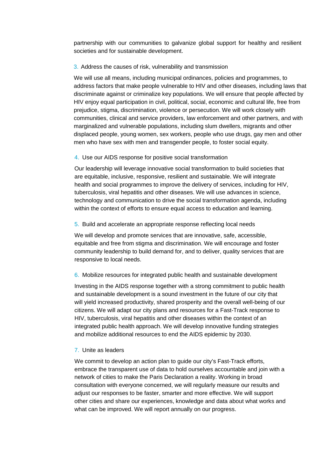partnership with our communities to galvanize global support for healthy and resilient societies and for sustainable development.

#### 3. Address the causes of risk, vulnerability and transmission

We will use all means, including municipal ordinances, policies and programmes, to address factors that make people vulnerable to HIV and other diseases, including laws that discriminate against or criminalize key populations. We will ensure that people affected by HIV enjoy equal participation in civil, political, social, economic and cultural life, free from prejudice, stigma, discrimination, violence or persecution. We will work closely with communities, clinical and service providers, law enforcement and other partners, and with marginalized and vulnerable populations, including slum dwellers, migrants and other displaced people, young women, sex workers, people who use drugs, gay men and other men who have sex with men and transgender people, to foster social equity.

#### 4. Use our AIDS response for positive social transformation

Our leadership will leverage innovative social transformation to build societies that are equitable, inclusive, responsive, resilient and sustainable. We will integrate health and social programmes to improve the delivery of services, including for HIV, tuberculosis, viral hepatitis and other diseases. We will use advances in science, technology and communication to drive the social transformation agenda, including within the context of efforts to ensure equal access to education and learning.

#### 5. Build and accelerate an appropriate response reflecting local needs

We will develop and promote services that are innovative, safe, accessible, equitable and free from stigma and discrimination. We will encourage and foster community leadership to build demand for, and to deliver, quality services that are responsive to local needs.

#### 6. Mobilize resources for integrated public health and sustainable development

Investing in the AIDS response together with a strong commitment to public health and sustainable development is a sound investment in the future of our city that will yield increased productivity, shared prosperity and the overall well-being of our citizens. We will adapt our city plans and resources for a Fast-Track response to HIV, tuberculosis, viral hepatitis and other diseases within the context of an integrated public health approach. We will develop innovative funding strategies and mobilize additional resources to end the AIDS epidemic by 2030.

### 7. Unite as leaders

We commit to develop an action plan to guide our city's Fast-Track efforts, embrace the transparent use of data to hold ourselves accountable and join with a network of cities to make the Paris Declaration a reality. Working in broad consultation with everyone concerned, we will regularly measure our results and adjust our responses to be faster, smarter and more effective. We will support other cities and share our experiences, knowledge and data about what works and what can be improved. We will report annually on our progress.